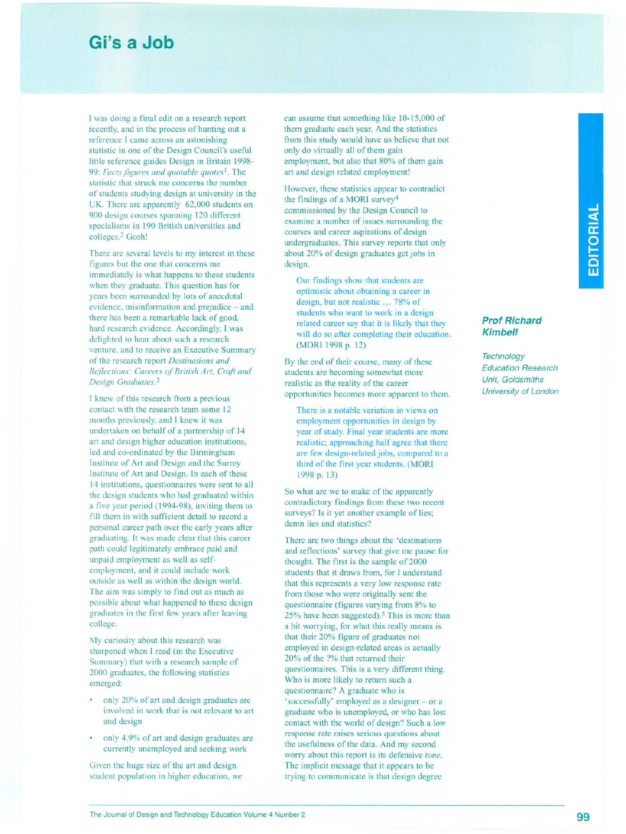## **Gi's a Job**

I was doing a final edit on a research report recently, and in the process of hunting out a reference I came across an astonishing statistic in one of the Design Council's useful little reference guides Design in Britain 1998- *99: Facts figures and quotable quotes1* The statistic that struck me concerns the number of students studying design at university in the UK. There are apparently 62,000 students on 900 design courses spanning 120 different specialisms in 190 British universities and colleges.<sup>2</sup> Gosh!

There are several levels to my interest in these figures but the one that concerns me immediately is what happens to these students when they graduate. This question has for years been surrounded by lots of anecdotal evidence, misinformation and prejudice - and there has been a remarkable lack of good, hard research evidence. Accordingly, I was delighted to hear about such a research venture, and to receive an Executive Summary of the research report *Destinations and Reflections: Careers of British Art, Craft and Design Graduates3*

I knew of this research from a previous contact with the research team some 12 months previously, and I knew it was undertaken on behalf of a partnership of 14 art and design higher education institutions, led and co-ordinated by the Birmingham Institute of Art and Design and the Surrey Institute of Art and Design. In each of these 14 institutions, questionnaires were sent to all the design students who had graduated within a five year period (1994-98), inviting them to fill them in with sufficient detail to record a personal career path over the early years after graduating. It was made clear that this career path could legitimately embrace paid and unpaid employment as well as selfemployment, and it could include work outside as well as within the design world. The aim was simply to find out as much as possible about what happened to these design graduates in the first few years after leaving college.

My curiosity about this research was sharpened when I read (in the Executive Summary) that with a research sample of 2000 graduates, the following statistics emerged:

- only 20% of art and design graduates are involved in work that is not relevant to art and design
- only 4.9% of art and design graduates are currently unemployed and seeking work

Given the huge size of the art and design student population in higher education, we can assume that something like 10-15,000 of them graduate each year. And the statistics from this study would have us believe that not only do virtually all of them gain employment, but also that 80% of them gain art and design related employment!

However, these statistics appear to contradict the findings of a MORI survey4 commissioned by the Design Council to examine a number of issues surrounding the courses and career aspirations of design undergraduates. This survey reports that only about 20% of design graduates get jobs in design.

Our findings show that students are optimistic about obtaining a career in design, but not realistic ... 78% of students who want to work in a design related career say that it is likely that they will do so after completing their education. (MORI 1998 p. 12)

By the end of their course, many of these students are becoming somewhat more realistic as the reality of the career opportunities becomes more apparent to them.

There is a notable variation in views on employment opportunities in design by year of study. Final year students are more realistic; approaching half agree that there are few design-related jobs, compared to a third of the first year students. (MORI 1998p.13)

So what are we to make of the apparently contradictory findings from these two recent surveys? Is it yet another example of lies; damn lies and statistics?

There are two things about the 'destinations and reflections' survey that give me pause for thought. The first is the sample of 2000 students that it draws from, for I understand that this represents a very low response rate from those who were originally sent the questionnaire (figures varying from 8% to 25% have been suggested).<sup>5</sup> This is more than a bit worrying, for what this really means is that their 20% figure of graduates not employed in design-related areas is actually 20% of the ?% that returned their questionnaires. This is a very different thing. Who is more likely to return such a questionnaire? A graduate who is 'successfully' employed as a designer - or a graduate who is unemployed, or who has lost contact with the world of design? Such a low response rate raises serious questions about the usefulness of the data. And my second worry about this report is its defensive *tone.* The implicit message that it appears to be trying to communicate is that design degree

## *Prof Richard Kimbell*

*Technology Education Research Unit, Goldsmiths University of London*